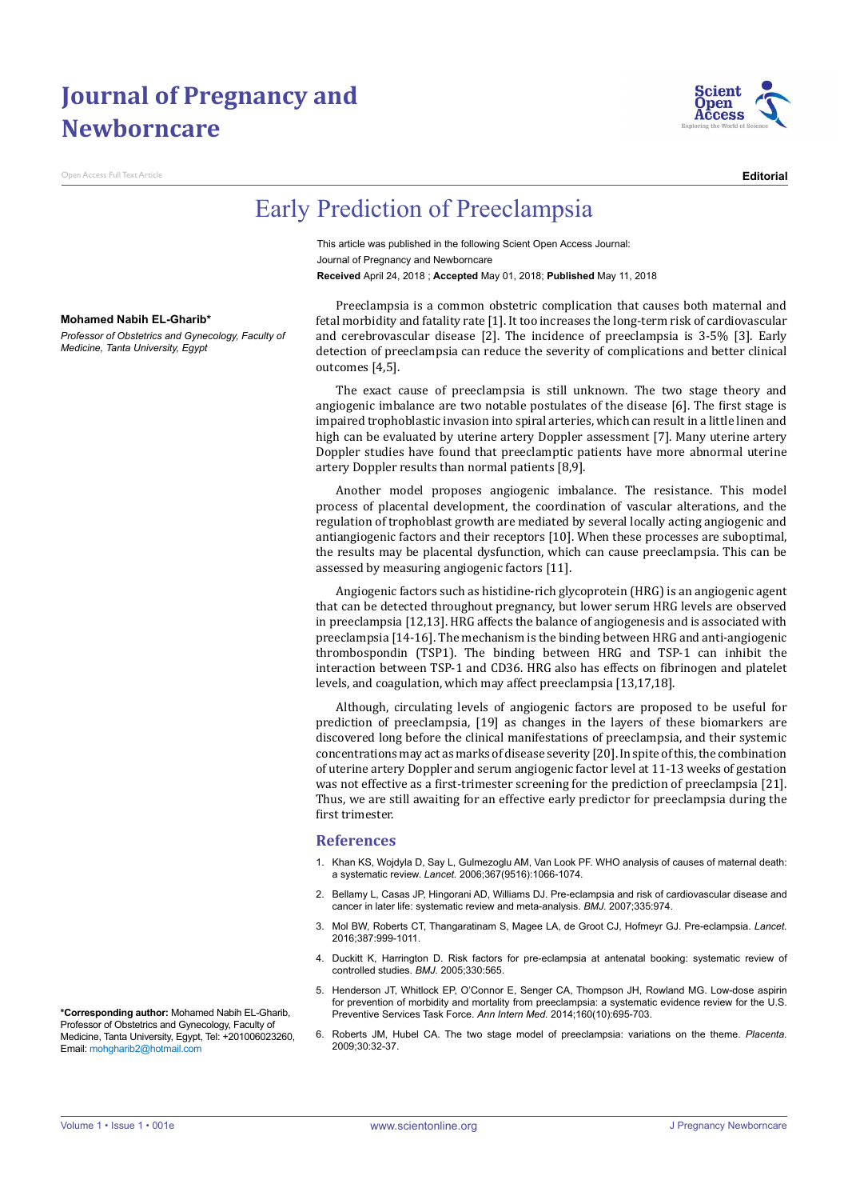## **Journal of Pregnancy and Newborncare**

Access Full Text Article



**Editorial**

## Early Prediction of Preeclampsia

This article was published in the following Scient Open Access Journal: Journal of Pregnancy and Newborncare **Received** April 24, 2018 ; **Accepted** May 01, 2018; **Published** May 11, 2018

## **Mohamed Nabih EL-Gharib\***

*Professor of Obstetrics and Gynecology, Faculty of Medicine, Tanta University, Egypt*

Preeclampsia is a common obstetric complication that causes both maternal and fetal morbidity and fatality rate [1]. It too increases the long-term risk of cardiovascular and cerebrovascular disease [2]. The incidence of preeclampsia is 3-5% [3]. Early detection of preeclampsia can reduce the severity of complications and better clinical outcomes [4,5].

The exact cause of preeclampsia is still unknown. The two stage theory and angiogenic imbalance are two notable postulates of the disease [6]. The first stage is impaired trophoblastic invasion into spiral arteries, which can result in a little linen and high can be evaluated by uterine artery Doppler assessment [7]. Many uterine artery Doppler studies have found that preeclamptic patients have more abnormal uterine artery Doppler results than normal patients [8,9].

Another model proposes angiogenic imbalance. The resistance. This model process of placental development, the coordination of vascular alterations, and the regulation of trophoblast growth are mediated by several locally acting angiogenic and antiangiogenic factors and their receptors [10]. When these processes are suboptimal, the results may be placental dysfunction, which can cause preeclampsia. This can be assessed by measuring angiogenic factors [11].

Angiogenic factors such as histidine-rich glycoprotein (HRG) is an angiogenic agent that can be detected throughout pregnancy, but lower serum HRG levels are observed in preeclampsia [12,13]. HRG affects the balance of angiogenesis and is associated with preeclampsia [14-16]. The mechanism is the binding between HRG and anti-angiogenic thrombospondin (TSP1). The binding between HRG and TSP-1 can inhibit the interaction between TSP-1 and CD36. HRG also has effects on fibrinogen and platelet levels, and coagulation, which may affect preeclampsia [13,17,18].

Although, circulating levels of angiogenic factors are proposed to be useful for prediction of preeclampsia, [19] as changes in the layers of these biomarkers are discovered long before the clinical manifestations of preeclampsia, and their systemic concentrations may act as marks of disease severity [20]. In spite of this, the combination of uterine artery Doppler and serum angiogenic factor level at 11-13 weeks of gestation was not effective as a first-trimester screening for the prediction of preeclampsia [21]. Thus, we are still awaiting for an effective early predictor for preeclampsia during the first trimester.

## **References**

- 1. [Khan KS, Wojdyla D, Say L, Gulmezoglu AM, Van Look PF. WHO analysis of causes of maternal death:](https://www.ncbi.nlm.nih.gov/pubmed/16581405)  a systematic review. *Lancet.* [2006;367\(9516\):1066-1074.](https://www.ncbi.nlm.nih.gov/pubmed/16581405)
- 2. [Bellamy L, Casas JP, Hingorani AD, Williams DJ. Pre-eclampsia and risk of cardiovascular disease and](https://www.bmj.com/content/335/7627/974)  [cancer in later life: systematic review and meta-analysis.](https://www.bmj.com/content/335/7627/974) *BMJ.* 2007;335:974.
- 3. Mol BW, Roberts CT, Thangaratinam S, Magee LA, de Groot CJ, Hofmeyr GJ. Pre-eclampsia. *Lancet.* 2016;387:999-1011.
- 4. [Duckitt K, Harrington D. Risk factors for pre-eclampsia at antenatal booking: systematic review of](https://www.bmj.com/content/330/7491/565)  [controlled studies.](https://www.bmj.com/content/330/7491/565) *BMJ.* 2005;330:565.
- 5. [Henderson JT, Whitlock EP, O'Connor E, Senger CA, Thompson JH, Rowland MG. Low-dose aspirin](https://www.ncbi.nlm.nih.gov/pubmed/24711050)  [for prevention of morbidity and mortality from preeclampsia: a systematic evidence review for the U.S.](https://www.ncbi.nlm.nih.gov/pubmed/24711050)  [Preventive Services Task Force.](https://www.ncbi.nlm.nih.gov/pubmed/24711050) *Ann Intern Med.* 2014;160(10):695-703.
- 6. [Roberts JM, Hubel CA. The two stage model of preeclampsia: variations on the theme.](https://www.ncbi.nlm.nih.gov/pubmed/19070896) *Placenta.*  [2009;30:32-37.](https://www.ncbi.nlm.nih.gov/pubmed/19070896)

**\*Corresponding author:** Mohamed Nabih EL-Gharib, Professor of Obstetrics and Gynecology, Faculty of Medicine, Tanta University, Egypt, Tel: +201006023260, Email: mohgharib2@hotmail.com